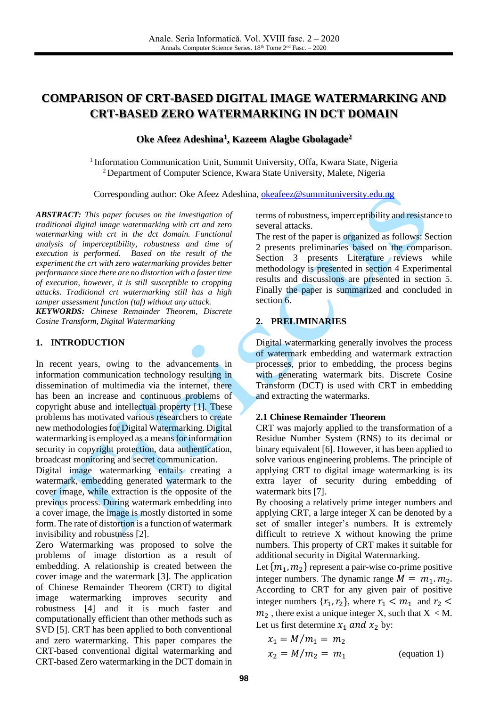# **COMPARISON OF CRT-BASED DIGITAL IMAGE WATERMARKING AND CRT-BASED ZERO WATERMARKING IN DCT DOMAIN**

## **Oke Afeez Adeshina<sup>1</sup> , Kazeem Alagbe Gbolagade<sup>2</sup>**

<sup>1</sup> Information Communication Unit, Summit University, Offa, Kwara State, Nigeria <sup>2</sup> Department of Computer Science, Kwara State University, Malete, Nigeria

Corresponding author: Oke Afeez Adeshina, [okeafeez@summituniversity.edu.ng](mailto:okeafeez@summituniversity.edu.ng)

*ABSTRACT: This paper focuses on the investigation of traditional digital image watermarking with crt and zero watermarking with crt in the dct domain. Functional analysis of imperceptibility, robustness and time of execution is performed. Based on the result of the experiment the crt with zero watermarking provides better performance since there are no distortion with a faster time of execution, however, it is still susceptible to cropping attacks. Traditional crt watermarking still has a high tamper assessment function (taf) without any attack. KEYWORDS: Chinese Remainder Theorem, Discrete* 

*Cosine Transform, Digital Watermarking*

#### **1. INTRODUCTION**

In recent years, owing to the advancements in information communication technology resulting in dissemination of multimedia via the internet, there has been an increase and continuous problems of copyright abuse and intellectual property [1]. These problems has motivated various researchers to create new methodologies for Digital Watermarking. Digital watermarking is employed as a means for information security in copyright protection, data authentication, broadcast monitoring and secret communication.

Digital image watermarking entails creating a watermark, embedding generated watermark to the cover image, while extraction is the opposite of the previous process. During watermark embedding into a cover image, the image is mostly distorted in some form. The rate of distortion is a function of watermark invisibility and robustness [2].

Zero Watermarking was proposed to solve the problems of image distortion as a result of embedding. A relationship is created between the cover image and the watermark [3]. The application of Chinese Remainder Theorem (CRT) to digital image watermarking improves security and robustness [4] and it is much faster and computationally efficient than other methods such as SVD [5]. CRT has been applied to both conventional and zero watermarking. This paper compares the CRT-based conventional digital watermarking and CRT-based Zero watermarking in the DCT domain in terms of robustness, imperceptibility and resistance to several attacks.

The rest of the paper is organized as follows: Section 2 presents preliminaries based on the comparison. Section 3 presents Literature reviews while methodology is presented in section 4 Experimental results and discussions are presented in section 5. Finally the paper is summarized and concluded in section 6.

## **2. PRELIMINARIES**

Digital watermarking generally involves the process of watermark embedding and watermark extraction processes, prior to embedding, the process begins with generating watermark bits. Discrete Cosine Transform (DCT) is used with CRT in embedding and extracting the watermarks.

### **2.1 Chinese Remainder Theorem**

CRT was majorly applied to the transformation of a Residue Number System (RNS) to its decimal or binary equivalent [6]. However, it has been applied to solve various engineering problems. The principle of applying CRT to digital image watermarking is its extra layer of security during embedding of watermark bits [7].

By choosing a relatively prime integer numbers and applying CRT, a large integer X can be denoted by a set of smaller integer's numbers. It is extremely difficult to retrieve X without knowing the prime numbers. This property of CRT makes it suitable for additional security in Digital Watermarking.

Let  $\{m_1, m_2\}$  represent a pair-wise co-prime positive integer numbers. The dynamic range  $M = m_1 \cdot m_2$ . According to CRT for any given pair of positive integer numbers  $\{r_1, r_2\}$ , where  $r_1 < m_1$  and  $r_2 <$  $m<sub>2</sub>$ , there exist a unique integer X, such that X < M. Let us first determine  $x_1$  and  $x_2$  by:

$$
x_1 = M/m_1 = m_2
$$
  
\n
$$
x_2 = M/m_2 = m_1
$$
 (equation 1)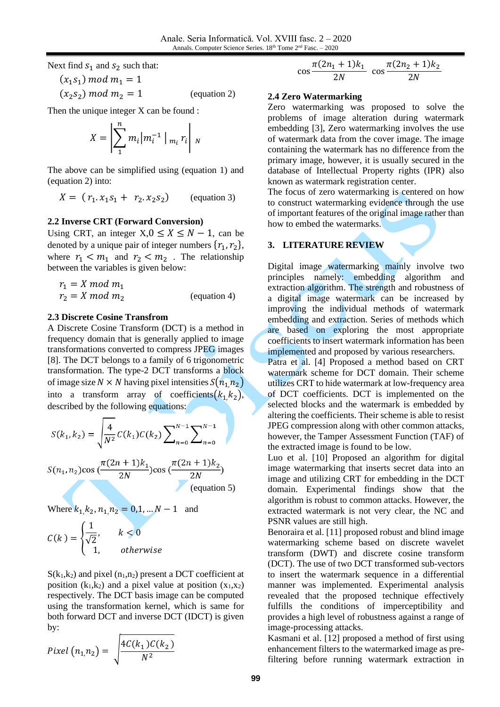Next find  $s_1$  and  $s_2$  such that:

$$
(x1s1) mod m1 = 1
$$
  

$$
(x2s2) mod m2 = 1
$$
 (equation 2)

Then the unique integer X can be found :

$$
X = \left| \sum_{1}^{n} m_i \middle| m_i^{-1} \middle| m_i r_i \right| N
$$

The above can be simplified using (equation 1) and (equation 2) into:

$$
X = (r_1 \cdot x_1 s_1 + r_2 \cdot x_2 s_2) \qquad \text{(equation 3)}
$$

#### **2.2 Inverse CRT (Forward Conversion)**

Using CRT, an integer  $X, 0 \le X \le N - 1$ , can be denoted by a unique pair of integer numbers  $\{r_1, r_2\}$ , where  $r_1 < m_1$  and  $r_2 < m_2$ . The relationship between the variables is given below:

$$
r_1 = X \mod m_1
$$
  
\n
$$
r_2 = X \mod m_2
$$
 (equation 4)

#### **2.3 Discrete Cosine Transfrom**

A Discrete Cosine Transform (DCT) is a method in frequency domain that is generally applied to image transformations converted to compress JPEG images [8]. The DCT belongs to a family of 6 trigonometric transformation. The type-2 DCT transforms a block of image size  $N \times N$  having pixel intensities  $S(n_1, n_2)$ into a transform array of coefficients $(k_1, k_2)$ , described by the following equations:

$$
S(k_1, k_2) = \sqrt{\frac{4}{N^2}} C(k_1) C(k_2) \sum_{n=0}^{N-1} \sum_{n=0}^{N-1}
$$
  

$$
S(n_1, n_2) \cos \left(\frac{\pi (2n+1)k_1}{2N}\right) \cos \left(\frac{\pi (2n+1)k_2}{2N}\right)
$$
  
(equation 5)

Where  $k_1, k_2, n_1, n_2 = 0, 1, ...$   $N - 1$  and

$$
C(k) = \begin{cases} \frac{1}{\sqrt{2}}, & k < 0\\ 1, & otherwise \end{cases}
$$

 $S(k_1,k_2)$  and pixel  $(n_1,n_2)$  present a DCT coefficient at position  $(k_1,k_2)$  and a pixel value at position  $(x_1,x_2)$ respectively. The DCT basis image can be computed using the transformation kernel, which is same for both forward DCT and inverse DCT (IDCT) is given by:

$$
Pixel\left(n_1,n_2\right)=\sqrt{\frac{4C(k_1)C(k_2)}{N^2}}
$$

$$
\cos \frac{\pi (2n_1+1)k_1}{2N} \cos \frac{\pi (2n_2+1)k_2}{2N}
$$

#### **2.4 Zero Watermarking**

Zero watermarking was proposed to solve the problems of image alteration during watermark embedding [3], Zero watermarking involves the use of watermark data from the cover image. The image containing the watermark has no difference from the primary image, however, it is usually secured in the database of Intellectual Property rights (IPR) also known as watermark registration center.

The focus of zero watermarking is centered on how to construct watermarking evidence through the use of important features of the original image rather than how to embed the watermarks.

#### **3. LITERATURE REVIEW**

Digital image watermarking mainly involve two principles namely: embedding algorithm and extraction algorithm. The strength and robustness of a digital image watermark can be increased by improving the individual methods of watermark embedding and extraction. Series of methods which are based on exploring the most appropriate coefficients to insert watermark information has been implemented and proposed by various researchers.

Patra et al. [4] Proposed a method based on CRT watermark scheme for DCT domain. Their scheme utilizes CRT to hide watermark at low-frequency area of DCT coefficients. DCT is implemented on the selected blocks and the watermark is embedded by altering the coefficients. Their scheme is able to resist JPEG compression along with other common attacks, however, the Tamper Assessment Function (TAF) of the extracted image is found to be low.

Luo et al. [10] Proposed an algorithm for digital image watermarking that inserts secret data into an image and utilizing CRT for embedding in the DCT domain. Experimental findings show that the algorithm is robust to common attacks. However, the extracted watermark is not very clear, the NC and PSNR values are still high.

Benoraira et al. [11] proposed robust and blind image watermarking scheme based on discrete wavelet transform (DWT) and discrete cosine transform (DCT). The use of two DCT transformed sub-vectors to insert the watermark sequence in a differential manner was implemented. Experimental analysis revealed that the proposed technique effectively fulfills the conditions of imperceptibility and provides a high level of robustness against a range of image-processing attacks.

Kasmani et al. [12] proposed a method of first using enhancement filters to the watermarked image as prefiltering before running watermark extraction in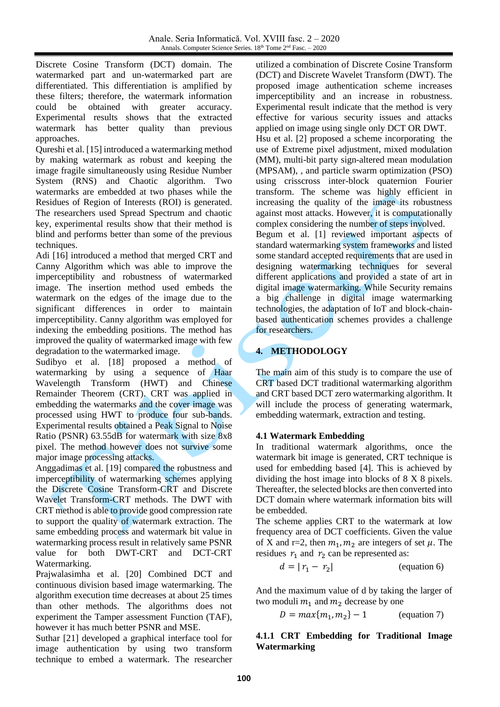Discrete Cosine Transform (DCT) domain. The watermarked part and un-watermarked part are differentiated. This differentiation is amplified by these filters; therefore, the watermark information could be obtained with greater accuracy. Experimental results shows that the extracted watermark has better quality than previous approaches.

Qureshi et al. [15] introduced a watermarking method by making watermark as robust and keeping the image fragile simultaneously using Residue Number System (RNS) and Chaotic algorithm. Two watermarks are embedded at two phases while the Residues of Region of Interests (ROI) is generated. The researchers used Spread Spectrum and chaotic key, experimental results show that their method is blind and performs better than some of the previous techniques.

Adi [16] introduced a method that merged CRT and Canny Algorithm which was able to improve the imperceptibility and robustness of watermarked image. The insertion method used embeds the watermark on the edges of the image due to the significant differences in order to maintain imperceptibility. Canny algorithm was employed for indexing the embedding positions. The method has improved the quality of watermarked image with few degradation to the watermarked image.

Sudibyo et al. [18] proposed a method of watermarking by using a sequence of Haar Wavelength Transform (HWT) and Chinese Remainder Theorem (CRT). CRT was applied in embedding the watermarks and the cover image was processed using HWT to produce four sub-bands. Experimental results obtained a Peak Signal to Noise Ratio (PSNR) 63.55dB for watermark with size 8x8 pixel. The method however does not survive some major image processing attacks.

Anggadimas et al. [19] compared the robustness and imperceptibility of watermarking schemes applying the Discrete Cosine Transform-CRT and Discrete Wavelet Transform-CRT methods. The DWT with CRT method is able to provide good compression rate to support the quality of watermark extraction. The same embedding process and watermark bit value in watermarking process result in relatively same PSNR value for both DWT-CRT and DCT-CRT Watermarking.

Prajwalasimha et al. [20] Combined DCT and continuous division based image watermarking. The algorithm execution time decreases at about 25 times than other methods. The algorithms does not experiment the Tamper assessment Function (TAF), however it has much better PSNR and MSE.

Suthar [21] developed a graphical interface tool for image authentication by using two transform technique to embed a watermark. The researcher

utilized a combination of Discrete Cosine Transform (DCT) and Discrete Wavelet Transform (DWT). The proposed image authentication scheme increases imperceptibility and an increase in robustness. Experimental result indicate that the method is very effective for various security issues and attacks applied on image using single only DCT OR DWT. Hsu et al. [2] proposed a scheme incorporating the use of Extreme pixel adjustment, mixed modulation (MM), multi-bit party sign-altered mean modulation (MPSAM), , and particle swarm optimization (PSO) using crisscross inter-block quaternion Fourier transform. The scheme was highly efficient in increasing the quality of the image its robustness against most attacks. However, it is computationally complex considering the number of steps involved. Begum et al. [1] reviewed important aspects of

standard watermarking system frameworks and listed some standard accepted requirements that are used in designing watermarking techniques for several different applications and provided a state of art in digital image watermarking. While Security remains a big challenge in digital image watermarking technologies, the adaptation of IoT and block-chainbased authentication schemes provides a challenge for researchers.

## **4. METHODOLOGY**

The main aim of this study is to compare the use of CRT based DCT traditional watermarking algorithm and CRT based DCT zero watermarking algorithm. It will include the process of generating watermark, embedding watermark, extraction and testing.

## **4.1 Watermark Embedding**

In traditional watermark algorithms, once the watermark bit image is generated, CRT technique is used for embedding based [4]. This is achieved by dividing the host image into blocks of 8 X 8 pixels. Thereafter, the selected blocks are then converted into DCT domain where watermark information bits will be embedded.

The scheme applies CRT to the watermark at low frequency area of DCT coefficients. Given the value of X and r=2, then  $m_1, m_2$  are integers of set  $\mu$ . The residues  $r_1$  and  $r_2$  can be represented as:

$$
d = |r_1 - r_2|
$$
 (equation 6)

And the maximum value of d by taking the larger of two moduli  $m_1$  and  $m_2$  decrease by one

> $D = max{m_1, m_2} - 1$  $(e$  (equation  $7$ )

## **4.1.1 CRT Embedding for Traditional Image Watermarking**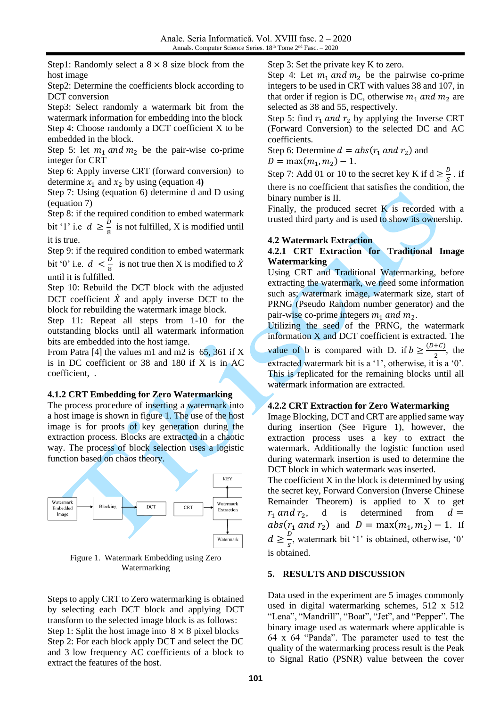Step1: Randomly select a  $8 \times 8$  size block from the host image

Step2: Determine the coefficients block according to DCT conversion

Step3: Select randomly a watermark bit from the watermark information for embedding into the block Step 4: Choose randomly a DCT coefficient X to be embedded in the block.

Step 5: let  $m_1$  and  $m_2$  be the pair-wise co-prime integer for CRT

Step 6: Apply inverse CRT (forward conversion) to determine  $x_1$  and  $x_2$  by using (equation 4)

Step 7: Using (equation 6) determine d and D using (equation 7)

Step 8: if the required condition to embed watermark bit '1' i.e  $d \geq \frac{D}{2}$  $\frac{b}{8}$  is not fulfilled, X is modified until it is true.

Step 9: if the required condition to embed watermark bit '0' i.e.  $d < \frac{b}{a}$  $\frac{b}{8}$  is not true then X is modified to  $\hat{X}$ until it is fulfilled.

Step 10: Rebuild the DCT block with the adjusted DCT coefficient  $\hat{X}$  and apply inverse DCT to the block for rebuilding the watermark image block.

Step 11: Repeat all steps from 1-10 for the outstanding blocks until all watermark information bits are embedded into the host iamge.

From Patra [4] the values m1 and m2 is 65, 361 if X is in DC coefficient or 38 and 180 if X is in AC coefficient, .

#### **4.1.2 CRT Embedding for Zero Watermarking**

The process procedure of inserting a watermark into a host image is shown in figure 1. The use of the host image is for proofs of key generation during the extraction process. Blocks are extracted in a chaotic way. The process of block selection uses a logistic function based on chaos theory.



Figure 1. Watermark Embedding using Zero Watermarking

Steps to apply CRT to Zero watermarking is obtained by selecting each DCT block and applying DCT transform to the selected image block is as follows: Step 1: Split the host image into  $8 \times 8$  pixel blocks Step 2: For each block apply DCT and select the DC and 3 low frequency AC coefficients of a block to extract the features of the host.

Step 3: Set the private key K to zero.

Step 4: Let  $m_1$  and  $m_2$  be the pairwise co-prime integers to be used in CRT with values 38 and 107, in that order if region is DC, otherwise  $m_1$  and  $m_2$  are selected as 38 and 55, respectively.

Step 5: find  $r_1$  and  $r_2$  by applying the Inverse CRT (Forward Conversion) to the selected DC and AC coefficients.

Step 6: Determine  $d = abs(r_1 \text{ and } r_2)$  and

 $D = \max(m_1, m_2) - 1.$ 

Step 7: Add 01 or 10 to the secret key K if  $d \geq \frac{D}{s}$  $\frac{b}{s}$ . if there is no coefficient that satisfies the condition, the binary number is II.

Finally, the produced secret  $\bf{K}$  is recorded with a trusted third party and is used to show its ownership.

## **4.2 Watermark Extraction**

## **4.2.1 CRT Extraction for Traditional Image Watermarking**

Using CRT and Traditional Watermarking, before extracting the watermark, we need some information such as; watermark image, watermark size, start of PRNG (Pseudo Random number generator) and the pair-wise co-prime integers  $m_1$  and  $m_2$ .

Utilizing the seed of the PRNG, the watermark information X and DCT coefficient is extracted. The value of b is compared with D. if  $b \geq \frac{(D+C)}{2}$  $\frac{1}{2}$ , the extracted watermark bit is a '1', otherwise, it is a '0'. This is replicated for the remaining blocks until all watermark information are extracted.

## **4.2.2 CRT Extraction for Zero Watermarking**

Image Blocking, DCT and CRT are applied same way during insertion (See Figure 1), however, the extraction process uses a key to extract the watermark. Additionally the logistic function used during watermark insertion is used to determine the DCT block in which watermark was inserted.

The coefficient X in the block is determined by using the secret key, Forward Conversion (Inverse Chinese Remainder Theorem) is applied to X to get  $r_1$  and  $r_2$ , d is determined from  $d =$  $abs(r_1 \text{ and } r_2)$  and  $D = max(m_1, m_2) - 1$ . If  $d\geq \frac{D}{a}$  $\frac{b}{s}$ , watermark bit '1' is obtained, otherwise, '0' is obtained.

## **5. RESULTS AND DISCUSSION**

Data used in the experiment are 5 images commonly used in digital watermarking schemes, 512 x 512 "Lena", "Mandrill", "Boat", "Jet", and "Pepper". The binary image used as watermark where applicable is 64 x 64 "Panda". The parameter used to test the quality of the watermarking process result is the Peak to Signal Ratio (PSNR) value between the cover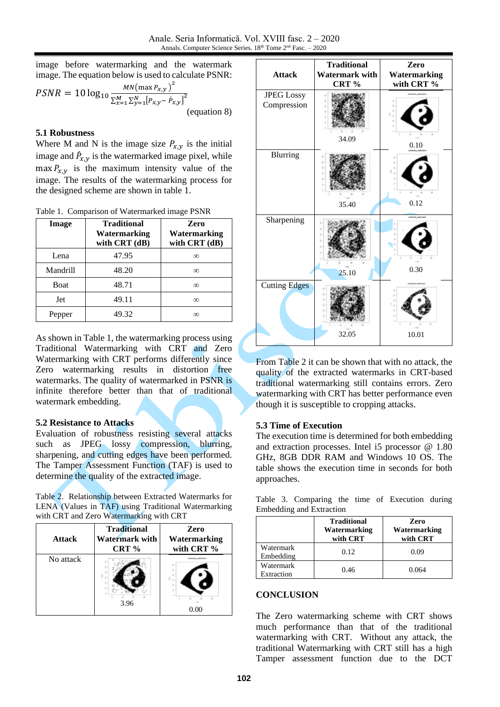image before watermarking and the watermark image. The equation below is used to calculate PSNR:

$$
PSNR = 10 \log_{10} \frac{MN(\max P_{x,y})^2}{\sum_{x=1}^{M} \sum_{y=1}^{N} [P_{x,y} - \hat{P}_{x,y}]^2}
$$
(equation 8)

## **5.1 Robustness**

Where M and N is the image size  $P_{x,y}$  is the initial image and  $\hat{P}_{x,y}$  is the watermarked image pixel, while  $\max P_{x,y}$  is the maximum intensity value of the image. The results of the watermarking process for the designed scheme are shown in table 1.

|  | Table 1. Comparison of Watermarked image PSNR |  |
|--|-----------------------------------------------|--|
|  |                                               |  |

| Image    | <b>Traditional</b><br>Watermarking<br>with CRT (dB) | <b>Zero</b><br>Watermarking<br>with CRT (dB) |
|----------|-----------------------------------------------------|----------------------------------------------|
| Lena     | 47.95                                               | $\infty$                                     |
| Mandrill | 48.20                                               | $\infty$                                     |
| Boat     | 48.71                                               | $\infty$                                     |
| Jet      | 49.11                                               | $\infty$                                     |
| Pepper   | 49.32                                               | $\infty$                                     |

As shown in Table 1, the watermarking process using Traditional Watermarking with CRT and Zero Watermarking with CRT performs differently since Zero watermarking results in distortion free watermarks. The quality of watermarked in PSNR is infinite therefore better than that of traditional watermark embedding.

#### **5.2 Resistance to Attacks**

Evaluation of robustness resisting several attacks such as JPEG lossy compression, blurring, sharpening, and cutting edges have been performed. The Tamper Assessment Function (TAF) is used to determine the quality of the extracted image.

Table 2. Relationship between Extracted Watermarks for LENA (Values in TAF) using Traditional Watermarking with CRT and Zero Watermarking with CRT

| <b>Attack</b> | <b>Traditional</b><br><b>Watermark with</b><br>$CRT\%$ | Zero<br>Watermarking<br>with CRT % |  |  |
|---------------|--------------------------------------------------------|------------------------------------|--|--|
| No attack     | 3.96                                                   | ş<br>0.00                          |  |  |

| <b>Attack</b>                    | <b>Traditional</b><br><b>Watermark with</b><br>CRT % | Zero<br>Watermarking<br>with CRT % |
|----------------------------------|------------------------------------------------------|------------------------------------|
| <b>JPEG Lossy</b><br>Compression | 34.09                                                | 0.10                               |
| <b>Blurring</b>                  | 35.40                                                | 0.12                               |
| Sharpening                       | 25.10                                                | 0.30                               |
| <b>Cutting Edges</b>             |                                                      |                                    |
|                                  | 32.05                                                | 10.01                              |

From Table 2 it can be shown that with no attack, the quality of the extracted watermarks in CRT-based traditional watermarking still contains errors. Zero watermarking with CRT has better performance even though it is susceptible to cropping attacks.

#### **5.3 Time of Execution**

The execution time is determined for both embedding and extraction processes. Intel i5 processor @ 1.80 GHz, 8GB DDR RAM and Windows 10 OS. The table shows the execution time in seconds for both approaches.

|  | Table 3. Comparing the time of Execution during |  |  |  |
|--|-------------------------------------------------|--|--|--|
|  | <b>Embedding and Extraction</b>                 |  |  |  |

|                         | <b>Traditional</b><br>Watermarking<br>with CRT | Zero<br>Watermarking<br>with CRT |
|-------------------------|------------------------------------------------|----------------------------------|
| Watermark<br>Embedding  | 0.12                                           | 0.09                             |
| Watermark<br>Extraction | 0.46                                           | 0.064                            |

## **CONCLUSION**

The Zero watermarking scheme with CRT shows much performance than that of the traditional watermarking with CRT. Without any attack, the traditional Watermarking with CRT still has a high Tamper assessment function due to the DCT